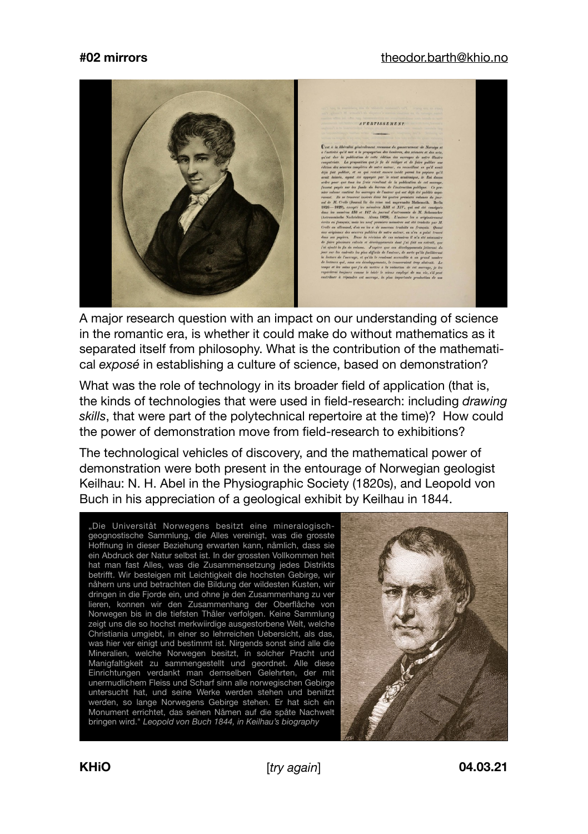## **#02 mirrors** [theodor.barth@khio.no](mailto:theodor.barth@khio.no)



A major research question with an impact on our understanding of science in the romantic era, is whether it could make do without mathematics as it separated itself from philosophy. What is the contribution of the mathematical *exposé* in establishing a culture of science, based on demonstration?

What was the role of technology in its broader field of application (that is, the kinds of technologies that were used in field-research: including *drawing skills*, that were part of the polytechnical repertoire at the time)? How could the power of demonstration move from field-research to exhibitions?

The technological vehicles of discovery, and the mathematical power of demonstration were both present in the entourage of Norwegian geologist Keilhau: N. H. Abel in the Physiographic Society (1820s), and Leopold von Buch in his appreciation of a geological exhibit by Keilhau in 1844.

"Die Universitåt Norwegens besitzt eine mineralogischgeognostische Sammlung, die Alles vereinigt, was die grosste Hoffnung in dieser Beziehung erwarten kann, nåmlich, dass sie ein Abdruck der Natur selbst ist. In der grossten Vollkommen heit hat man fast Alles, was die Zusammensetzung jedes Distrikts betrifft. Wir besteigen mit Leichtigkeit die hochsten Gebirge, wir nåhern uns und betrachten die Bildung der wildesten Kusten, wir dringen in die Fjorde ein, und ohne je den Zusammenhang zu ver lieren, konnen wir den Zusammenhang der Oberflåche von Norwegen bis in die tiefsten Thåler verfolgen. Keine Sammlung zeigt uns die so hochst merkwiirdige ausgestorbene Welt, welche Christiania umgiebt, in einer so lehrreichen Uebersicht, als das, was hier ver einigt und bestimmt ist. Nirgends sonst sind alle die Mineralien, welche Norwegen besitzt, in solcher Pracht und Manigfaltigkeit zu sammengestellt und geordnet. Alle diese Einrichtungen verdankt man demselben Gelehrten, der mit unermudlichem Fleiss und Scharf sinn alle norwegischen Gebirge untersucht hat, und seine Werke werden stehen und beniitzt werden, so lange Norwegens Gebirge stehen. Er hat sich ein Monument errichtet, das seinen Nåmen auf die spåte Nachwelt bringen wird." *Leopold von Buch 1844, in Keilhau's biography*